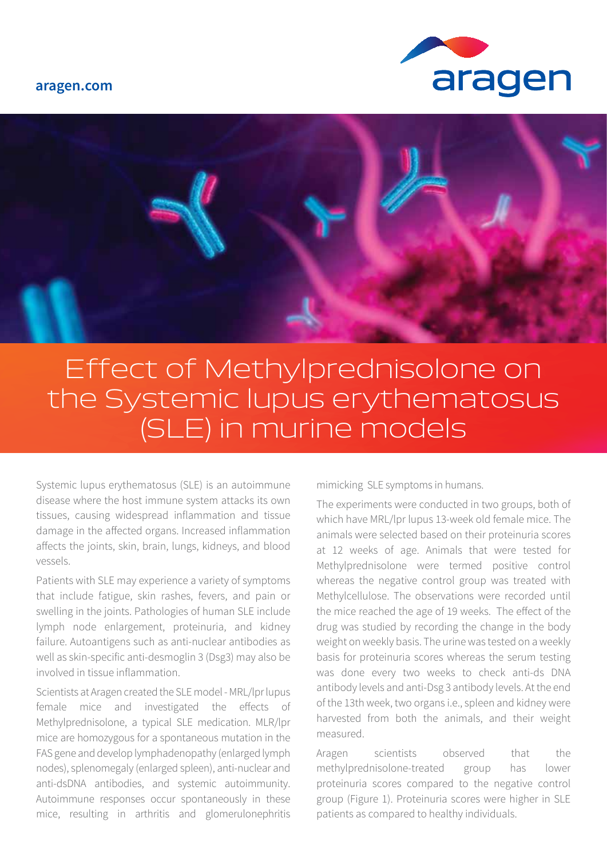## **aragen.com**





## Effect of Methylprednisolone on the Systemic lupus erythematosus (SLE) in murine models

Systemic lupus erythematosus (SLE) is an autoimmune disease where the host immune system attacks its own tissues, causing widespread inflammation and tissue damage in the affected organs. Increased inflammation affects the joints, skin, brain, lungs, kidneys, and blood vessels.

Patients with SLE may experience a variety of symptoms that include fatigue, skin rashes, fevers, and pain or swelling in the joints. Pathologies of human SLE include lymph node enlargement, proteinuria, and kidney failure. Autoantigens such as anti-nuclear antibodies as well as skin-specific anti-desmoglin 3 (Dsg3) may also be involved in tissue inflammation.

Scientists at Aragen created the SLE model - MRL/lpr lupus female mice and investigated the effects of Methylprednisolone, a typical SLE medication. MLR/lpr mice are homozygous for a spontaneous mutation in the FAS gene and develop lymphadenopathy (enlarged lymph nodes), splenomegaly (enlarged spleen), anti-nuclear and anti-dsDNA antibodies, and systemic autoimmunity. Autoimmune responses occur spontaneously in these mice, resulting in arthritis and glomerulonephritis mimicking SLE symptoms in humans.

The experiments were conducted in two groups, both of which have MRL/lpr lupus 13-week old female mice. The animals were selected based on their proteinuria scores at 12 weeks of age. Animals that were tested for Methylprednisolone were termed positive control whereas the negative control group was treated with Methylcellulose. The observations were recorded until the mice reached the age of 19 weeks. The effect of the drug was studied by recording the change in the body weight on weekly basis. The urine was tested on a weekly basis for proteinuria scores whereas the serum testing was done every two weeks to check anti-ds DNA antibody levels and anti-Dsg 3 antibody levels. At the end of the 13th week, two organs i.e., spleen and kidney were harvested from both the animals, and their weight measured.

Aragen scientists observed that the methylprednisolone-treated group has lower proteinuria scores compared to the negative control group (Figure 1). Proteinuria scores were higher in SLE patients as compared to healthy individuals.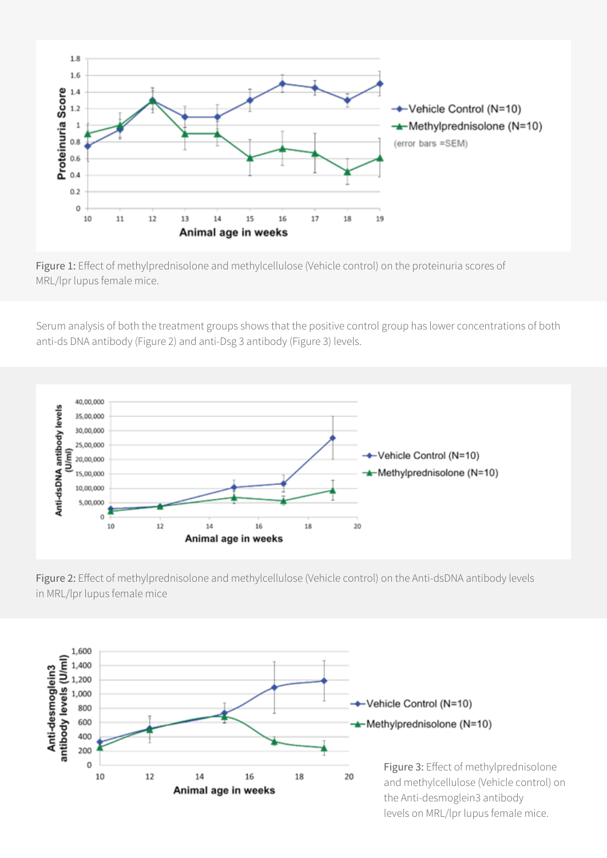

Figure 1: Effect of methylprednisolone and methylcellulose (Vehicle control) on the proteinuria scores of MRL/lpr lupus female mice.

Serum analysis of both the treatment groups shows that the positive control group has lower concentrations of both anti-ds DNA antibody (Figure 2) and anti-Dsg 3 antibody (Figure 3) levels.



Figure 2: Effect of methylprednisolone and methylcellulose (Vehicle control) on the Anti-dsDNA antibody levels in MRL/lpr lupus female mice